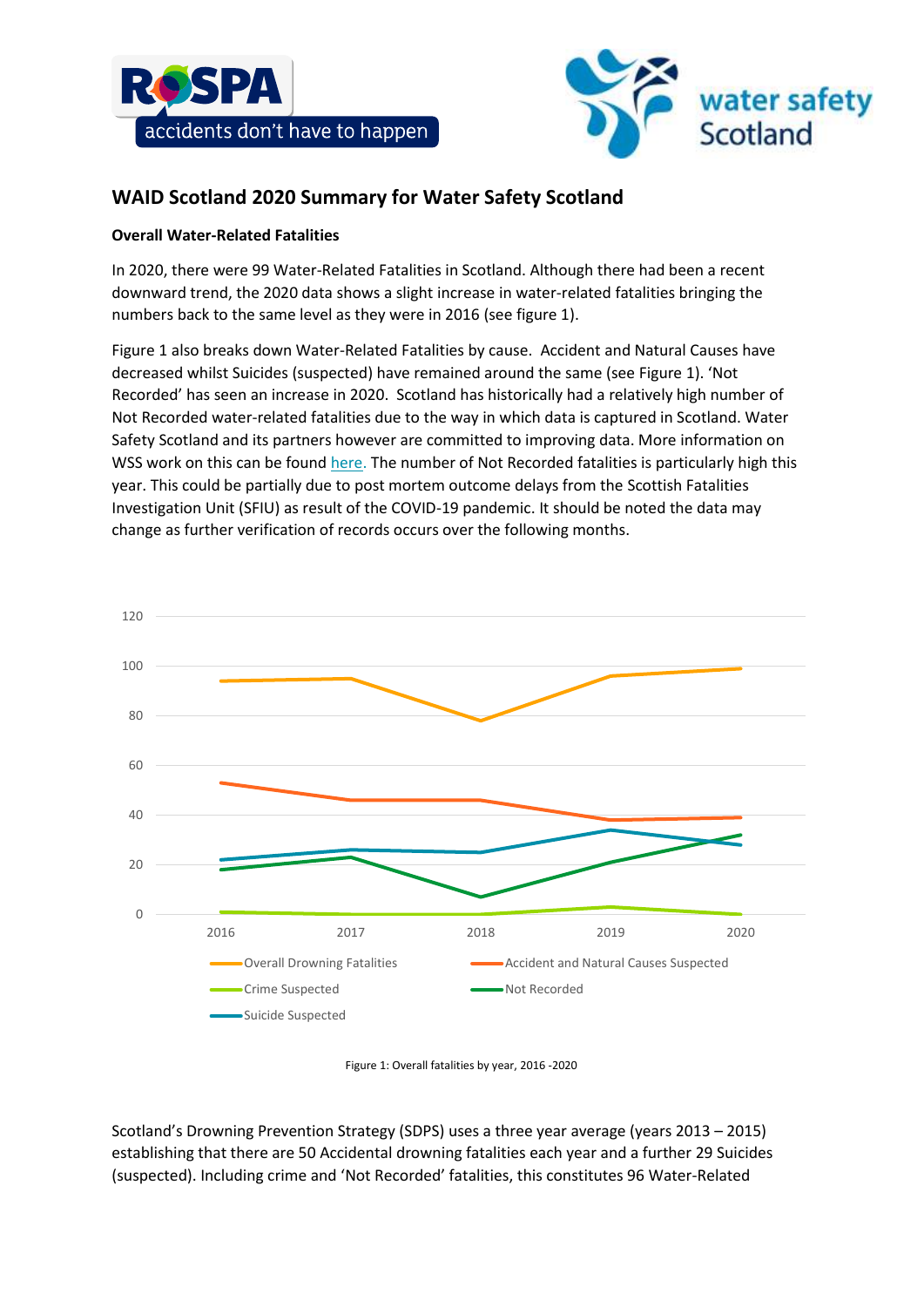



# **WAID Scotland 2020 Summary for Water Safety Scotland**

## **Overall Water-Related Fatalities**

In 2020, there were 99 Water-Related Fatalities in Scotland. Although there had been a recent downward trend, the 2020 data shows a slight increase in water-related fatalities bringing the numbers back to the same level as they were in 2016 (see figure 1).

Figure 1 also breaks down Water-Related Fatalities by cause. Accident and Natural Causes have decreased whilst Suicides (suspected) have remained around the same (see Figure 1). 'Not Recorded' has seen an increase in 2020. Scotland has historically had a relatively high number of Not Recorded water-related fatalities due to the way in which data is captured in Scotland. Water Safety Scotland and its partners however are committed to improving data. More information on WSS work on this can be found [here.](https://watersafetyscotland.org.uk/resources/preventing-future-fatalities/) The number of Not Recorded fatalities is particularly high this year. This could be partially due to post mortem outcome delays from the Scottish Fatalities Investigation Unit (SFIU) as result of the COVID-19 pandemic. It should be noted the data may change as further verification of records occurs over the following months.



Figure 1: Overall fatalities by year, 2016 -2020

Scotland's Drowning Prevention Strategy (SDPS) uses a three year average (years 2013 – 2015) establishing that there are 50 Accidental drowning fatalities each year and a further 29 Suicides (suspected). Including crime and 'Not Recorded' fatalities, this constitutes 96 Water-Related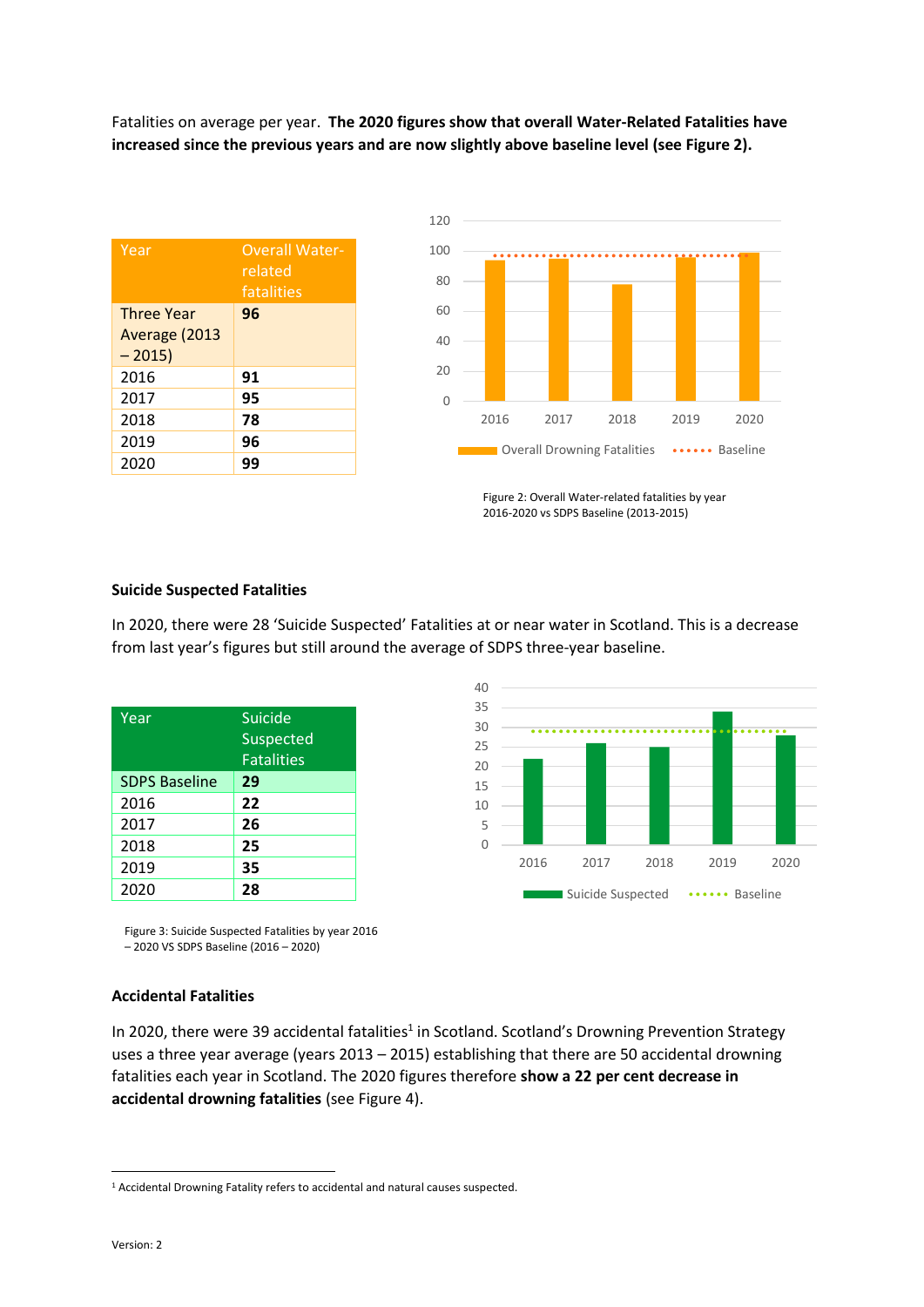Fatalities on average per year. **The 2020 figures show that overall Water-Related Fatalities have increased since the previous years and are now slightly above baseline level (see Figure 2).**

| Year                     | <b>Overall Water-</b><br>related<br>fatalities |
|--------------------------|------------------------------------------------|
| <b>Three Year</b>        | 96                                             |
| Average (2013<br>$-2015$ |                                                |
| 2016                     | 91                                             |
| 2017                     | 95                                             |
| 2018                     | 78                                             |
| 2019                     | 96                                             |
| 2020                     | 99                                             |



Figure 2: Overall Water-related fatalities by year 2016-2020 vs SDPS Baseline (2013-2015)

### **Suicide Suspected Fatalities**

In 2020, there were 28 'Suicide Suspected' Fatalities at or near water in Scotland. This is a decrease from last year's figures but still around the average of SDPS three-year baseline.

| <b>Suicide</b><br><b>Suspected</b><br><b>Fatalities</b> |
|---------------------------------------------------------|
| 29                                                      |
| 22                                                      |
| 26                                                      |
| 25                                                      |
| 35                                                      |
| 28                                                      |
|                                                         |



Figure 3: Suicide Suspected Fatalities by year 2016 – 2020 VS SDPS Baseline (2016 – 2020)

#### **Accidental Fatalities**

In 2020, there were 39 accidental fatalities<sup>1</sup> in Scotland. Scotland's Drowning Prevention Strategy uses a three year average (years 2013 – 2015) establishing that there are 50 accidental drowning fatalities each year in Scotland. The 2020 figures therefore **show a 22 per cent decrease in accidental drowning fatalities** (see Figure 4).

 $\overline{a}$ 

<sup>&</sup>lt;sup>1</sup> Accidental Drowning Fatality refers to accidental and natural causes suspected.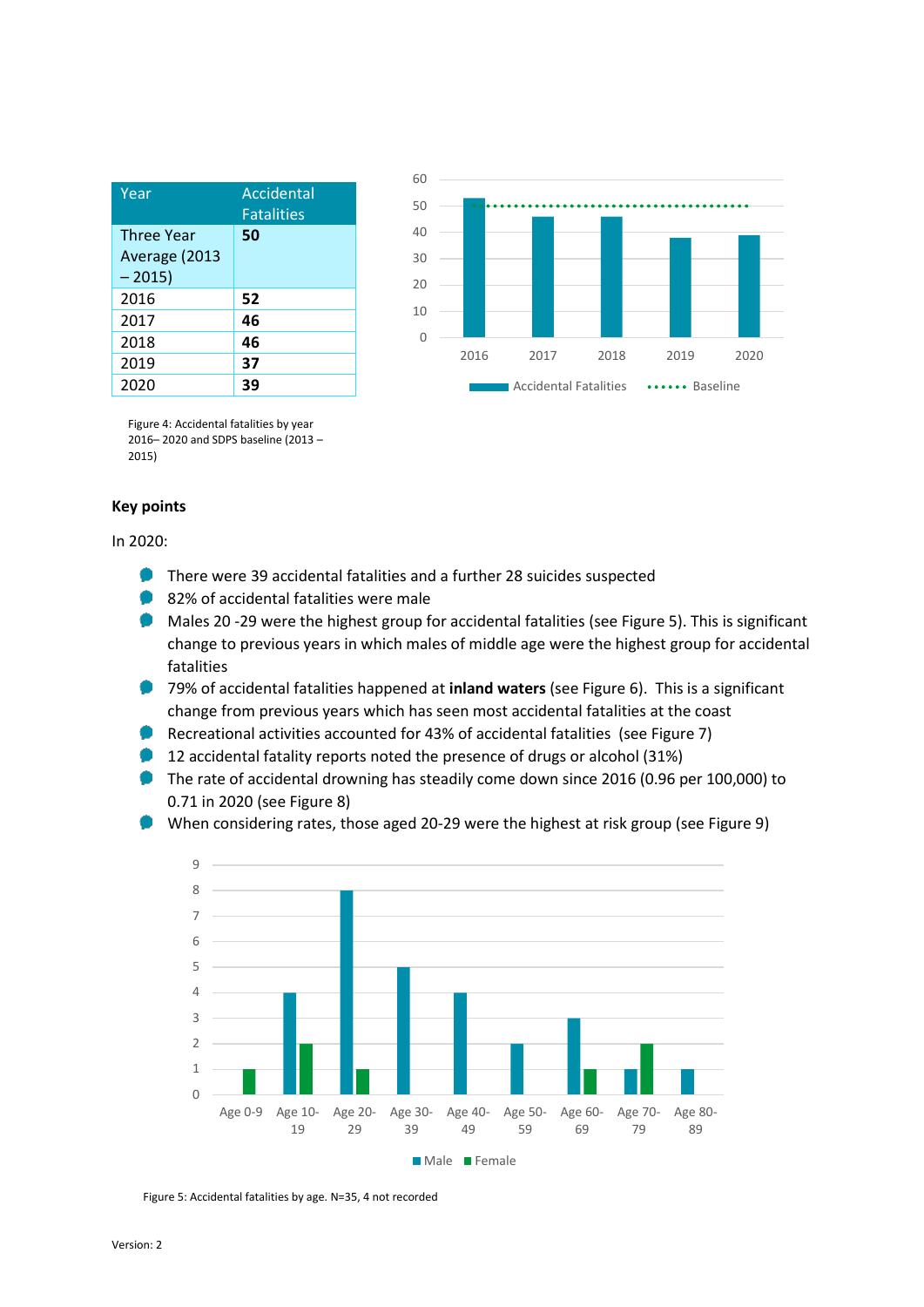| Year                                          | Accidental<br><b>Fatalities</b> |
|-----------------------------------------------|---------------------------------|
| <b>Three Year</b><br>Average (2013<br>$-2015$ | 50                              |
| 2016                                          | 52                              |
| 2017                                          | 46                              |
| 2018                                          | 46                              |
| 2019                                          | 37                              |
| 2020                                          |                                 |



Figure 4: Accidental fatalities by year 2016– 2020 and SDPS baseline (2013 – 2015)

## **Key points**

In 2020:

- **There were 39 accidental fatalities and a further 28 suicides suspected**
- 82% of accidental fatalities were male
- . Males 20 -29 were the highest group for accidental fatalities (see Figure 5). This is significant change to previous years in which males of middle age were the highest group for accidental fatalities
- 79% of accidental fatalities happened at **inland waters** (see Figure 6). This is a significant change from previous years which has seen most accidental fatalities at the coast
- . Recreational activities accounted for 43% of accidental fatalities (see Figure 7)
- ٠ 12 accidental fatality reports noted the presence of drugs or alcohol (31%)
- The rate of accidental drowning has steadily come down since 2016 (0.96 per 100,000) to 0.71 in 2020 (see Figure 8)
- When considering rates, those aged 20-29 were the highest at risk group (see Figure 9)



Figure 5: Accidental fatalities by age. N=35, 4 not recorded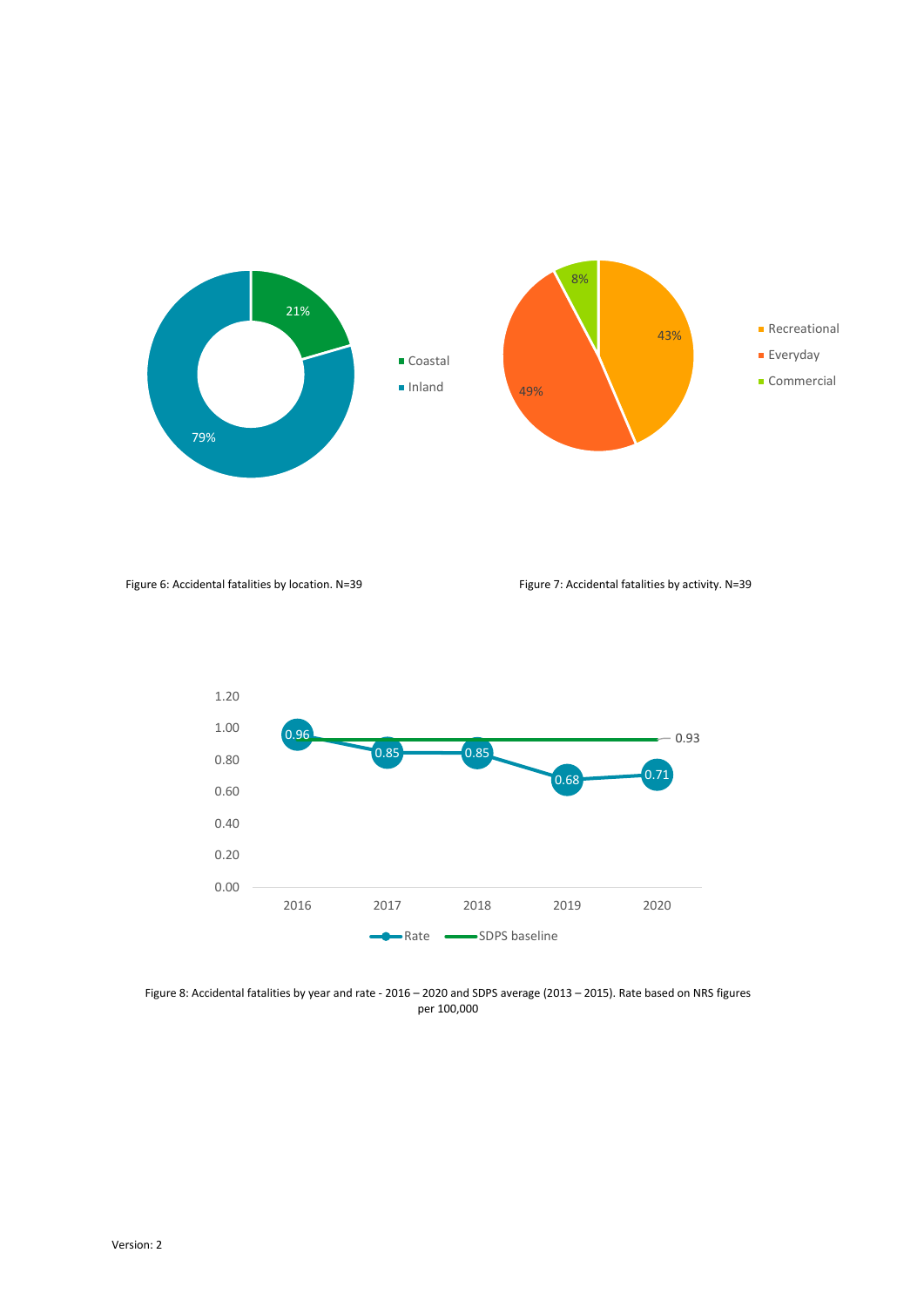

Figure 6: Accidental fatalities by location. N=39 Figure 7: Accidental fatalities by activity. N=39



Figure 8: Accidental fatalities by year and rate - 2016 – 2020 and SDPS average (2013 – 2015). Rate based on NRS figures per 100,000